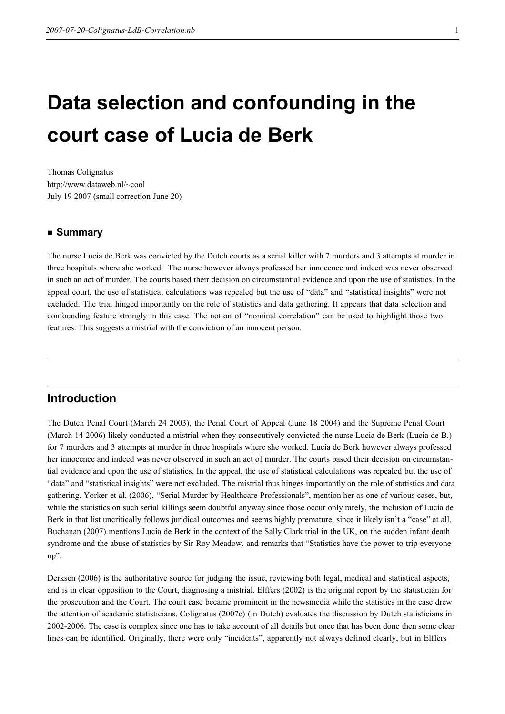# Data selection and confounding in the court case of Lucia de Berk

Thomas Colignatus http://www.dataweb.nl/~cool July 19 2007 (small correction June 20)

#### ■ Summary

The nurse Lucia de Berk was convicted by the Dutch courts as a serial killer with 7 murders and 3 attempts at murder in three hospitals where she worked. The nurse however always professed her innocence and indeed was never observed in such an act of murder. The courts based their decision on circumstantial evidence and upon the use of statistics. In the appeal court, the use of statistical calculations was repealed but the use of "data" and "statistical insights" were not excluded. The trial hinged importantly on the role of statistics and data gathering. It appears that data selection and confounding feature strongly in this case. The notion of "nominal correlation" can be used to highlight those two features. This suggests a mistrial with the conviction of an innocent person.

## Introduction

The Dutch Penal Court (March 24 2003), the Penal Court of Appeal (June 18 2004) and the Supreme Penal Court (March 14 2006) likely conducted a mistrial when they consecutively convicted the nurse Lucia de Berk (Lucia de B.) for 7 murders and 3 attempts at murder in three hospitals where she worked. Lucia de Berk however always professed her innocence and indeed was never observed in such an act of murder. The courts based their decision on circumstantial evidence and upon the use of statistics. In the appeal, the use of statistical calculations was repealed but the use of "data" and "statistical insights" were not excluded. The mistrial thus hinges importantly on the role of statistics and data gathering. Yorker et al. (2006), "Serial Murder by Healthcare Professionals", mention her as one of various cases, but, while the statistics on such serial killings seem doubtful anyway since those occur only rarely, the inclusion of Lucia de Berk in that list uncritically follows juridical outcomes and seems highly premature, since it likely isn't a "case" at all. Buchanan (2007) mentions Lucia de Berk in the context of the Sally Clark trial in the UK, on the sudden infant death syndrome and the abuse of statistics by Sir Roy Meadow, and remarks that "Statistics have the power to trip everyone up".

Derksen (2006) is the authoritative source for judging the issue, reviewing both legal, medical and statistical aspects, and is in clear opposition to the Court, diagnosing a mistrial. Elffers (2002) is the original report by the statistician for the prosecution and the Court. The court case became prominent in the newsmedia while the statistics in the case drew the attention of academic statisticians. Colignatus (2007c) (in Dutch) evaluates the discussion by Dutch statisticians in 2002-2006. The case is complex since one has to take account of all details but once that has been done then some clear lines can be identified. Originally, there were only "incidents", apparently not always defined clearly, but in Elffers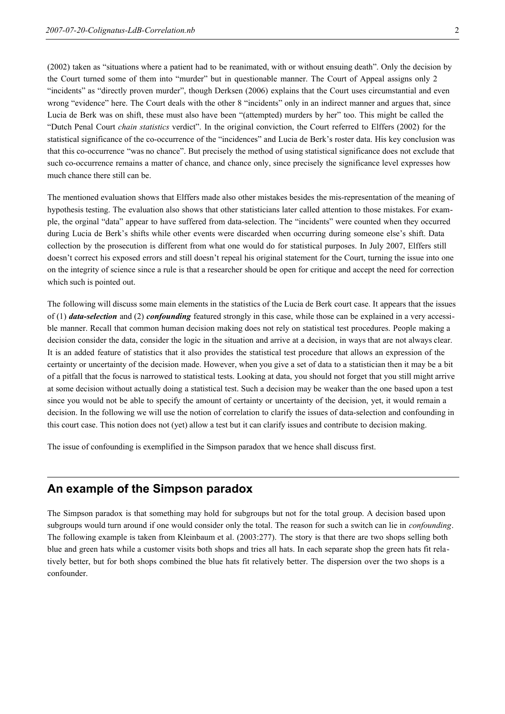(2002) taken as "situations where a patient had to be reanimated, with or without ensuing death". Only the decision by the Court turned some of them into "murder" but in questionable manner. The Court of Appeal assigns only 2 "incidents" as "directly proven murder", though Derksen (2006) explains that the Court uses circumstantial and even wrong "evidence" here. The Court deals with the other 8 "incidents" only in an indirect manner and argues that, since Lucia de Berk was on shift, these must also have been "(attempted) murders by her" too. This might be called the "Dutch Penal Court chain statistics verdict". In the original conviction, the Court referred to Elffers (2002) for the statistical significance of the co-occurrence of the "incidences" and Lucia de Berk's roster data. His key conclusion was that this co-occurrence "was no chance". But precisely the method of using statistical significance does not exclude that such co-occurrence remains a matter of chance, and chance only, since precisely the significance level expresses how much chance there still can be.

The mentioned evaluation shows that Elffers made also other mistakes besides the mis-representation of the meaning of hypothesis testing. The evaluation also shows that other statisticians later called attention to those mistakes. For example, the orginal "data" appear to have suffered from data-selection. The "incidents" were counted when they occurred during Lucia de Berk's shifts while other events were discarded when occurring during someone else's shift. Data collection by the prosecution is different from what one would do for statistical purposes. In July 2007, Elffers still doesn't correct his exposed errors and still doesn't repeal his original statement for the Court, turning the issue into one on the integrity of science since a rule is that a researcher should be open for critique and accept the need for correction which such is pointed out.

The following will discuss some main elements in the statistics of the Lucia de Berk court case. It appears that the issues of (1) *data-selection* and (2) *confounding* featured strongly in this case, while those can be explained in a very accessible manner. Recall that common human decision making does not rely on statistical test procedures. People making a decision consider the data, consider the logic in the situation and arrive at a decision, in ways that are not always clear. It is an added feature of statistics that it also provides the statistical test procedure that allows an expression of the certainty or uncertainty of the decision made. However, when you give a set of data to a statistician then it may be a bit of a pitfall that the focus is narrowed to statistical tests. Looking at data, you should not forget that you still might arrive at some decision without actually doing a statistical test. Such a decision may be weaker than the one based upon a test since you would not be able to specify the amount of certainty or uncertainty of the decision, yet, it would remain a decision. In the following we will use the notion of correlation to clarify the issues of data-selection and confounding in this court case. This notion does not (yet) allow a test but it can clarify issues and contribute to decision making.

The issue of confounding is exemplified in the Simpson paradox that we hence shall discuss first.

# An example of the Simpson paradox

The Simpson paradox is that something may hold for subgroups but not for the total group. A decision based upon subgroups would turn around if one would consider only the total. The reason for such a switch can lie in *confounding*. The following example is taken from Kleinbaum et al. (2003:277). The story is that there are two shops selling both blue and green hats while a customer visits both shops and tries all hats. In each separate shop the green hats fit relatively better, but for both shops combined the blue hats fit relatively better. The dispersion over the two shops is a confounder.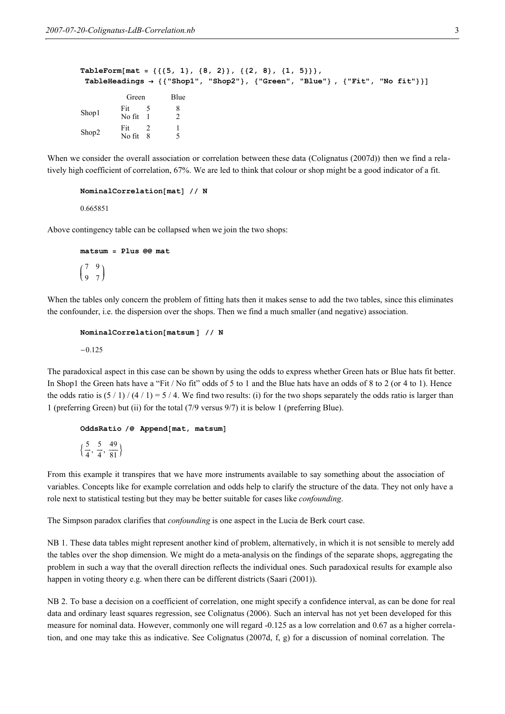```
TableForm[mat = \{ \{ \{5, 1\}, \{8, 2\} \}, \{ \{2, 8\}, \{1, 5\} \} \},TableHeadings \rightarrow {{"Shop1", "Shop2"}, {"Green", "Blue"}, {"Fit", "No fit"}}]
            Green Blue
Shop1 Fit 5
No fit 1
                         8
                         2
Shop2 Fit 2
No fit 8
                         1
                         5
```
When we consider the overall association or correlation between these data (Colignatus (2007d)) then we find a relatively high coefficient of correlation, 67%. We are led to think that colour or shop might be a good indicator of a fit.

```
NominalCorrelation[mat] // N
```
0.665851

Above contingency table can be collapsed when we join the two shops:

```
matsum = 2lus @@ma+i
\begin{pmatrix} 7 & 9 \\ 9 & 7 \end{pmatrix}9 7
              \overline{1}\bigg)
```
When the tables only concern the problem of fitting hats then it makes sense to add the two tables, since this eliminates the confounder, i.e. the dispersion over the shops. Then we find a much smaller (and negative) association.

```
NominalCorrelation[matsum ] // N
-0.125
```
The paradoxical aspect in this case can be shown by using the odds to express whether Green hats or Blue hats fit better. In Shop1 the Green hats have a "Fit / No fit" odds of 5 to 1 and the Blue hats have an odds of 8 to 2 (or 4 to 1). Hence the odds ratio is  $(5/1)/(4/1) = 5/4$ . We find two results: (i) for the two shops separately the odds ratio is larger than 1 (preferring Green) but (ii) for the total (7/9 versus 9/7) it is below 1 (preferring Blue).

#### OddsRatio /@ Append[mat, matsum]

```
\{\frac{5}{4}\frac{5}{4}, \frac{5}{4}\frac{5}{4}, \frac{49}{81}\overline{81}
```
From this example it transpires that we have more instruments available to say something about the association of variables. Concepts like for example correlation and odds help to clarify the structure of the data. They not only have a role next to statistical testing but they may be better suitable for cases like confounding.

The Simpson paradox clarifies that *confounding* is one aspect in the Lucia de Berk court case.

NB 1. These data tables might represent another kind of problem, alternatively, in which it is not sensible to merely add the tables over the shop dimension. We might do a meta-analysis on the findings of the separate shops, aggregating the problem in such a way that the overall direction reflects the individual ones. Such paradoxical results for example also happen in voting theory e.g. when there can be different districts (Saari (2001)).

NB 2. To base a decision on a coefficient of correlation, one might specify a confidence interval, as can be done for real data and ordinary least squares regression, see Colignatus (2006). Such an interval has not yet been developed for this measure for nominal data. However, commonly one will regard -0.125 as a low correlation and 0.67 as a higher correlation, and one may take this as indicative. See Colignatus (2007d, f, g) for a discussion of nominal correlation. The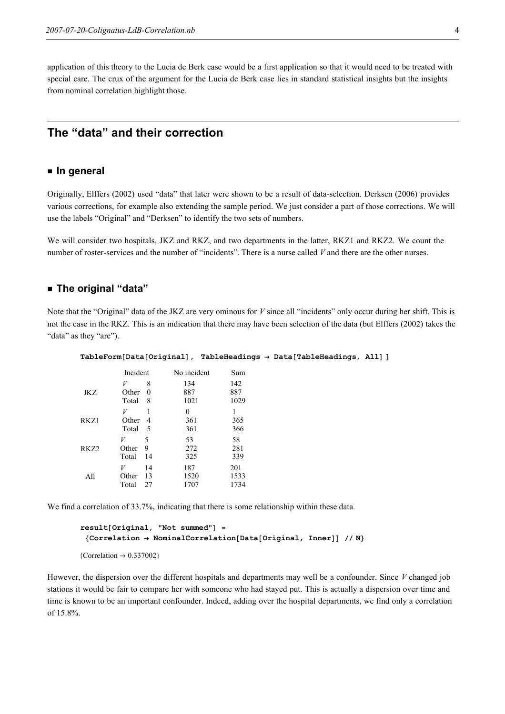application of this theory to the Lucia de Berk case would be a first application so that it would need to be treated with special care. The crux of the argument for the Lucia de Berk case lies in standard statistical insights but the insights from nominal correlation highlight those.

# The "data" and their correction

#### **u** In general

Originally, Elffers (2002) used "data" that later were shown to be a result of data-selection. Derksen (2006) provides various corrections, for example also extending the sample period. We just consider a part of those corrections. We will use the labels "Original" and "Derksen" to identify the two sets of numbers.

We will consider two hospitals, JKZ and RKZ, and two departments in the latter, RKZ1 and RKZ2. We count the number of roster-services and the number of "incidents". There is a nurse called V and there are the other nurses.

#### ü The original "data"

Note that the "Original" data of the JKZ are very ominous for V since all "incidents" only occur during her shift. This is not the case in the RKZ. This is an indication that there may have been selection of the data (but Elffers (2002) takes the "data" as they "are").

| $TableForm[Data[Original], TableHeadings \rightarrow Data[TableHeadings, All]]$ |          |                |              |      |  |  |
|---------------------------------------------------------------------------------|----------|----------------|--------------|------|--|--|
|                                                                                 | Incident |                | No incident  | Sum  |  |  |
|                                                                                 | V        | 8              | 134          | 142  |  |  |
| JKZ                                                                             | Other    | $\overline{0}$ | 887          | 887  |  |  |
|                                                                                 | Total    | - 8            | 1021         | 1029 |  |  |
|                                                                                 | V        |                | $\mathbf{0}$ |      |  |  |
| RKZ1                                                                            | Other 4  |                | 361          | 365  |  |  |
|                                                                                 | Total    | - 5            | 361          | 366  |  |  |
| RKZ <sub>2</sub>                                                                | V        | 5              | 53           | 58   |  |  |
|                                                                                 | Other    | 9              | 272          | 281  |  |  |
|                                                                                 | Total    | 14             | 325          | 339  |  |  |
| All                                                                             | V        | 14             | 187          | 201  |  |  |
|                                                                                 | Other    | 13             | 1520         | 1533 |  |  |
|                                                                                 | Total    | 27             | 1707         | 1734 |  |  |

We find a correlation of 33.7%, indicating that there is some relationship within these data.

```
result[Original, "Not summed"] ={Correlation \rightarrow NominalCorrelation[Data[Original, Inner]] // N}
```
{Correlation  $\rightarrow$  0.337002}

However, the dispersion over the different hospitals and departments may well be a confounder. Since V changed job stations it would be fair to compare her with someone who had stayed put. This is actually a dispersion over time and time is known to be an important confounder. Indeed, adding over the hospital departments, we find only a correlation of 15.8%.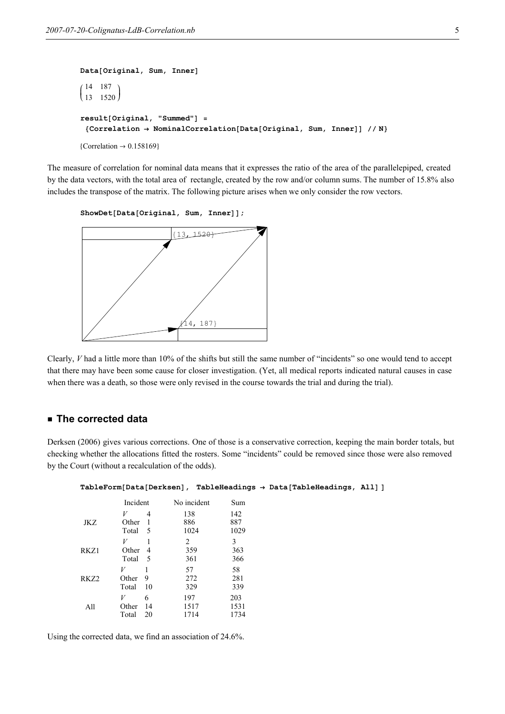```
Data[Original, Sum, Inner]
i
\begin{pmatrix} 11 & 18 \\ 13 & 1520 \end{pmatrix}14 187
             \overline{ }\bigg)result[Original, "Summed"] ={Correlation \rightarrow NominalCorrelation[Data[Original, Sum, Inner]] // N}{Correlation} \rightarrow 0.158169
```
The measure of correlation for nominal data means that it expresses the ratio of the area of the parallelepiped, created by the data vectors, with the total area of rectangle, created by the row and/or column sums. The number of 15.8% also includes the transpose of the matrix. The following picture arises when we only consider the row vectors.

```
ShowDet[Data[Original, Sum, Inner]];
```


Clearly, V had a little more than 10% of the shifts but still the same number of "incidents" so one would tend to accept that there may have been some cause for closer investigation. (Yet, all medical reports indicated natural causes in case when there was a death, so those were only revised in the course towards the trial and during the trial).

#### ■ The corrected data

Derksen (2006) gives various corrections. One of those is a conservative correction, keeping the main border totals, but checking whether the allocations fitted the rosters. Some "incidents" could be removed since those were also removed by the Court (without a recalculation of the odds).

|                  |                     |                       |                     |                     | $\texttt{TableForm}[\texttt{Data}[\texttt{Derksen}], \texttt{TableHeadings} \rightarrow \texttt{Data}[\texttt{TableHeadings}, \texttt{All}]$ |  |
|------------------|---------------------|-----------------------|---------------------|---------------------|----------------------------------------------------------------------------------------------------------------------------------------------|--|
|                  | Incident            |                       | No incident         | Sum                 |                                                                                                                                              |  |
| JKZ              | V<br>Other<br>Total | $\overline{4}$<br>- 5 | 138<br>886<br>1024  | 142<br>887<br>1029  |                                                                                                                                              |  |
| RKZ1             | V<br>Other<br>Total | $\overline{4}$<br>- 5 | 2<br>359<br>361     | 3<br>363<br>366     |                                                                                                                                              |  |
| RKZ <sub>2</sub> | V<br>Other<br>Total | 9<br>10               | 57<br>272<br>329    | 58<br>281<br>339    |                                                                                                                                              |  |
| All              | V<br>Other<br>Total | 6<br>14<br>20         | 197<br>1517<br>1714 | 203<br>1531<br>1734 |                                                                                                                                              |  |

Using the corrected data, we find an association of 24.6%.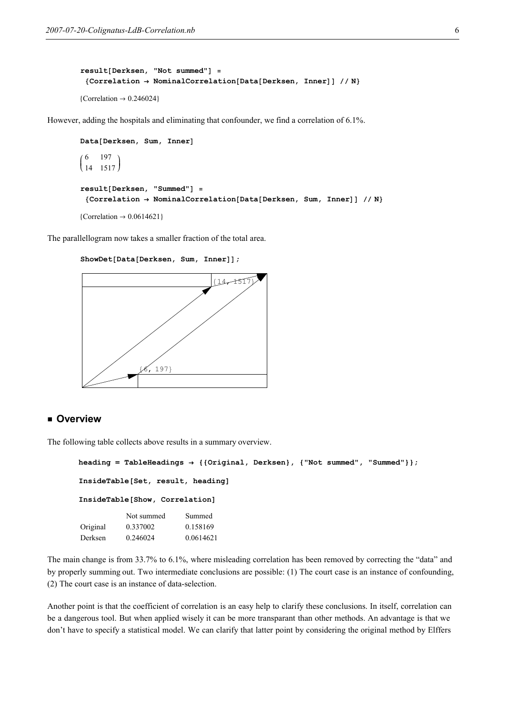```
result[Derksen, "Not summed"] ={Correlation \rightarrow NominalCorrelation[Data[Derksen, Inner]] // N}{Correlation \rightarrow 0.246024}
```
However, adding the hospitals and eliminating that confounder, we find a correlation of 6.1%.

```
Data[Derksen, Sum, Inner]
i
\begin{pmatrix} 6 & 197 \\ 14 & 151 \end{pmatrix}14 1517
             \overline{1}\bigg)result[Derksen, "Summed"] =
  {Correlation \rightarrow NominalCorrelation[Data[Derksen, Sum, Inner]] // N}{Correlation \rightarrow 0.0614621}
```
The parallellogram now takes a smaller fraction of the total area.

ShowDet[Data[Derksen, Sum, Inner]];



#### **u** Overview

The following table collects above results in a summary overview.

```
heading = TableHeadings → {{Original, Derksen}, {"Not summed", "Summed"}};
InsideTable[Set, result, heading] 
InsideTable[Show, Correlation]
          Not summed Summed
Original 0.337002 0.158169
Derksen 0.246024 0.0614621
```
The main change is from 33.7% to 6.1%, where misleading correlation has been removed by correcting the "data" and by properly summing out. Two intermediate conclusions are possible: (1) The court case is an instance of confounding, (2) The court case is an instance of data-selection.

Another point is that the coefficient of correlation is an easy help to clarify these conclusions. In itself, correlation can be a dangerous tool. But when applied wisely it can be more transparant than other methods. An advantage is that we don't have to specify a statistical model. We can clarify that latter point by considering the original method by Elffers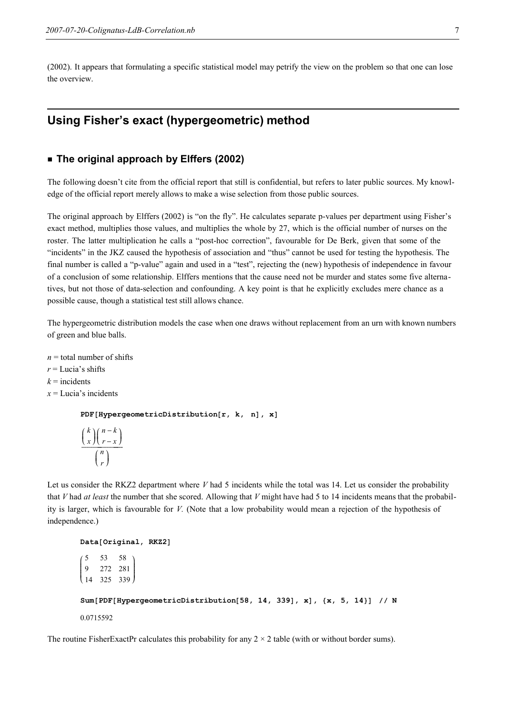(2002). It appears that formulating a specific statistical model may petrify the view on the problem so that one can lose the overview.

# Using Fisher's exact (hypergeometric) method

#### ■ The original approach by Elffers (2002)

The following doesn't cite from the official report that still is confidential, but refers to later public sources. My knowledge of the official report merely allows to make a wise selection from those public sources.

The original approach by Elffers (2002) is "on the fly". He calculates separate p-values per department using Fisher's exact method, multiplies those values, and multiplies the whole by 27, which is the official number of nurses on the roster. The latter multiplication he calls a "post-hoc correction", favourable for De Berk, given that some of the "incidents" in the JKZ caused the hypothesis of association and "thus" cannot be used for testing the hypothesis. The final number is called a "p-value" again and used in a "test", rejecting the (new) hypothesis of independence in favour of a conclusion of some relationship. Elffers mentions that the cause need not be murder and states some five alternatives, but not those of data-selection and confounding. A key point is that he explicitly excludes mere chance as a possible cause, though a statistical test still allows chance.

The hypergeometric distribution models the case when one draws without replacement from an urn with known numbers of green and blue balls.

 $n =$  total number of shifts

- $r =$ Lucia's shifts
- $k =$ incidents
- $x =$ Lucia's incidents

 $PDF[HypergeometricDistribution[r, k, n], x]$ 

$$
\frac{\binom{k}{x}\binom{n-k}{r-x}}{\binom{n}{r}}
$$

Let us consider the RKZ2 department where  $V$  had 5 incidents while the total was 14. Let us consider the probability that V had *at least* the number that she scored. Allowing that V might have had 5 to 14 incidents means that the probability is larger, which is favourable for V. (Note that a low probability would mean a rejection of the hypothesis of independence.)

Data[Original, RKZ2] i k  $\vert$ 5 53 58 9 272 281 14 325 339  $\overline{1}$  $\overline{y}$  $\overline{\phantom{a}}$ Sum [PDF [HypergeometricDistribution [58, 14, 339], x],  $\{x, 5, 14\}$ ] // N 0.0715592

The routine FisherExactPr calculates this probability for any  $2 \times 2$  table (with or without border sums).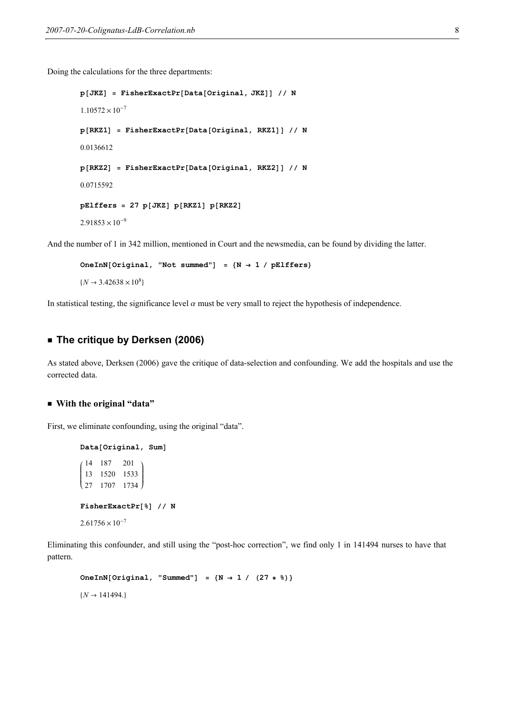Doing the calculations for the three departments:

```
p[JKZ] = FisherExactPr[Data[Original, JKZ]] // N1.10572 \times 10^{-7}p[RKZ1] = FisherExactPr[Data[Original, RKZ1]] // N0.0136612
p[RKZ2] = FisherExactPr[Data[Original, RKZ2]] // N0.0715592
pE1ffers = 27 p[JKZ] p[RKZ1] p[RKZ2]2.91853 \times 10^{-9}
```
And the number of 1 in 342 million, mentioned in Court and the newsmedia, can be found by dividing the latter.

```
OneInN[Original, "Not summed"] = \{N \rightarrow 1 / pE1 \}\{N \to 3.42638 \times 10^8\}
```
In statistical testing, the significance level  $\alpha$  must be very small to reject the hypothesis of independence.

#### **Example 2006)** The critique by Derksen (2006)

As stated above, Derksen (2006) gave the critique of data-selection and confounding. We add the hospitals and use the corrected data.

#### ■ With the original "data"

First, we eliminate confounding, using the original "data".

```
Data[Original, Sum]
i
14 187 201
(27 \t1707 \t1734)\vert13 1520 1533
                     \overline{ }\overline{\phantom{a}}FisherExactPr[8] // N
2.61756 \times 10^{-7}
```
Eliminating this confounder, and still using the "post-hoc correction", we find only 1 in 141494 nurses to have that pattern.

```
OneInN[Original, "Summed"] = \{N \rightarrow 1 / (27 * 8)\}\{N \to 141494.\}
```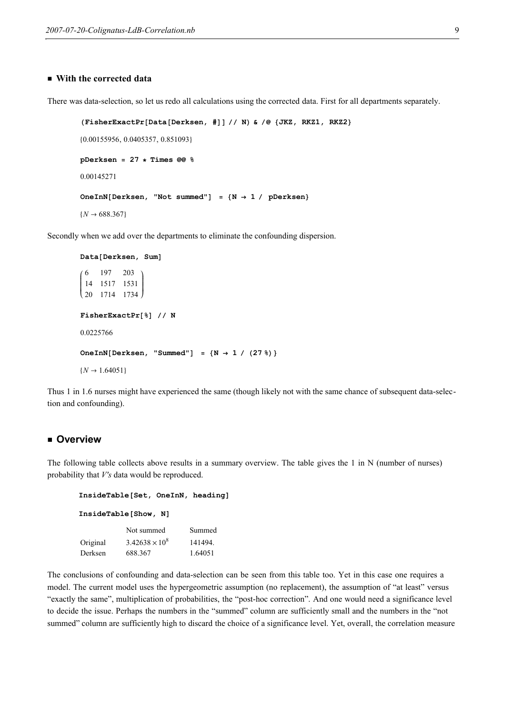#### $\blacksquare$  With the corrected data

There was data-selection, so let us redo all calculations using the corrected data. First for all departments separately.

```
(FisherExactPr[Data[Derksen, #]] // N) & /@ {JKZ, RKZ1, RKZ2}80.00155956, 0.0405357, 0.851093<
pDerksen = 27 ∗ Times @@ %
0.00145271
OneInN[Derksen, "Not summed"] = \{N \rightarrow 1 / pDerksen}
```
 $\{N \to 688.367\}$ 

Secondly when we add over the departments to eliminate the confounding dispersion.

```
Data[Derksen, Sum]
i
(20 \t1714 \t1734)\vert6 197 203
 14 1517 1531
                   \overline{ }\overline{\phantom{a}}FisherExactPr[8] // N
0.0225766
OneInN[Derksen, "Summed"] = \{N \rightarrow 1 / (27 \})\}\{N \to 1.64051\}
```
Thus 1 in 1.6 nurses might have experienced the same (though likely not with the same chance of subsequent data-selection and confounding).

#### **E** Overview

The following table collects above results in a summary overview. The table gives the 1 in N (number of nurses) probability that V's data would be reproduced.

```
InsideTable[Set, OneInN, heading] 
InsideTable[Show, N]
          Not summed Summed
Original 3.42638 \times 10^8141494.
Derksen 688.367 1.64051
```
The conclusions of confounding and data-selection can be seen from this table too. Yet in this case one requires a model. The current model uses the hypergeometric assumption (no replacement), the assumption of "at least" versus "exactly the same", multiplication of probabilities, the "post-hoc correction". And one would need a significance level to decide the issue. Perhaps the numbers in the "summed" column are sufficiently small and the numbers in the "not summed" column are sufficiently high to discard the choice of a significance level. Yet, overall, the correlation measure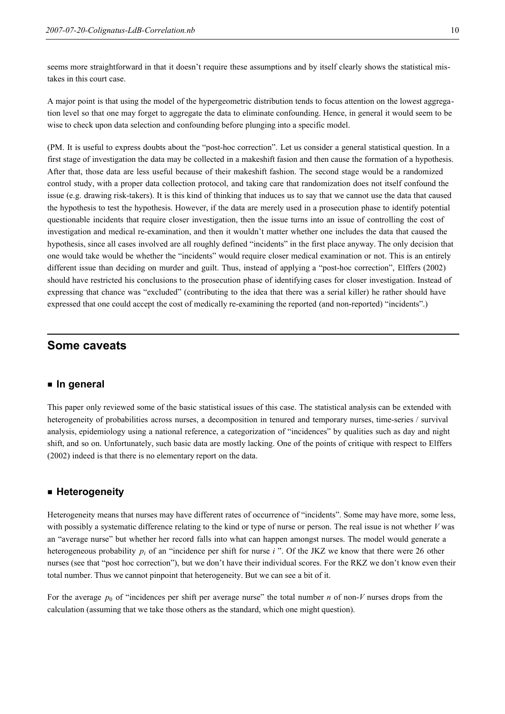seems more straightforward in that it doesn't require these assumptions and by itself clearly shows the statistical mistakes in this court case.

A major point is that using the model of the hypergeometric distribution tends to focus attention on the lowest aggregation level so that one may forget to aggregate the data to eliminate confounding. Hence, in general it would seem to be wise to check upon data selection and confounding before plunging into a specific model.

(PM. It is useful to express doubts about the "post-hoc correction". Let us consider a general statistical question. In a first stage of investigation the data may be collected in a makeshift fasion and then cause the formation of a hypothesis. After that, those data are less useful because of their makeshift fashion. The second stage would be a randomized control study, with a proper data collection protocol, and taking care that randomization does not itself confound the issue (e.g. drawing risk-takers). It is this kind of thinking that induces us to say that we cannot use the data that caused the hypothesis to test the hypothesis. However, if the data are merely used in a prosecution phase to identify potential questionable incidents that require closer investigation, then the issue turns into an issue of controlling the cost of investigation and medical re-examination, and then it wouldn't matter whether one includes the data that caused the hypothesis, since all cases involved are all roughly defined "incidents" in the first place anyway. The only decision that one would take would be whether the "incidents" would require closer medical examination or not. This is an entirely different issue than deciding on murder and guilt. Thus, instead of applying a "post-hoc correction", Elffers (2002) should have restricted his conclusions to the prosecution phase of identifying cases for closer investigation. Instead of expressing that chance was "excluded" (contributing to the idea that there was a serial killer) he rather should have expressed that one could accept the cost of medically re-examining the reported (and non-reported) "incidents".)

# Some caveats

#### ■ In general

This paper only reviewed some of the basic statistical issues of this case. The statistical analysis can be extended with heterogeneity of probabilities across nurses, a decomposition in tenured and temporary nurses, time-series / survival analysis, epidemiology using a national reference, a categorization of "incidences" by qualities such as day and night shift, and so on. Unfortunately, such basic data are mostly lacking. One of the points of critique with respect to Elffers (2002) indeed is that there is no elementary report on the data.

#### ■ Heterogeneity

Heterogeneity means that nurses may have different rates of occurrence of "incidents". Some may have more, some less, with possibly a systematic difference relating to the kind or type of nurse or person. The real issue is not whether  $V$  was an "average nurse" but whether her record falls into what can happen amongst nurses. The model would generate a heterogeneous probability  $p_i$  of an "incidence per shift for nurse i". Of the JKZ we know that there were 26 other nurses (see that "post hoc correction"), but we don't have their individual scores. For the RKZ we don't know even their total number. Thus we cannot pinpoint that heterogeneity. But we can see a bit of it.

For the average  $p_0$  of "incidences per shift per average nurse" the total number *n* of non-V nurses drops from the calculation (assuming that we take those others as the standard, which one might question).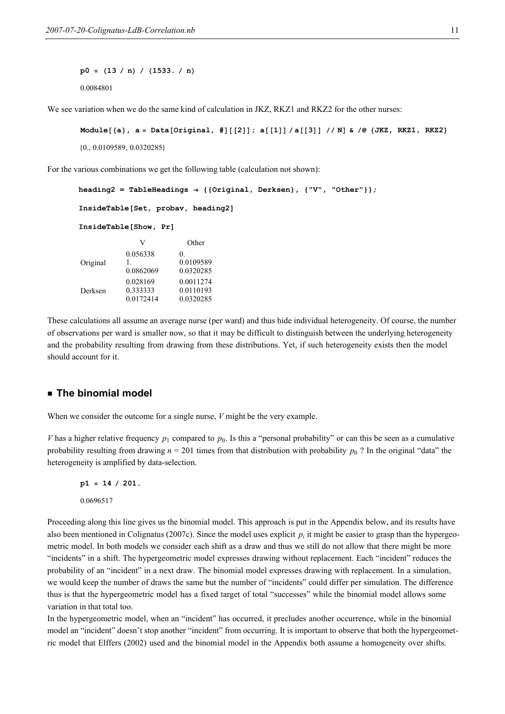$p0 = (13 / n) / (1533. / n)$ 0.0084801

We see variation when we do the same kind of calculation in JKZ, RKZ1 and RKZ2 for the other nurses:

```
Module[{a}, a = Data[Original, #][[2]]; a[[1]] / a[[3]] // N] & /@ {JKZ, RKZ1, RKZ2}
80., 0.0109589, 0.0320285<
```
For the various combinations we get the following table (calculation not shown):

```
heading2 = TableHeadings \rightarrow {{Original, Derksen}, {"V", "Other"}};
InsideTable[Set, probav, heading2] 
InsideTable[Show, Pr]
                V Other
Original
            0.056338
            1.
            0.0862069
                          0.
                          0.0109589
                          0.0320285
Derksen
            0.028169
            0.333333
            0.0172414
                          0.0011274
                          0.0110193
                          0.0320285
```
These calculations all assume an average nurse (per ward) and thus hide individual heterogeneity. Of course, the number of observations per ward is smaller now, so that it may be difficult to distinguish between the underlying heterogeneity and the probability resulting from drawing from these distributions. Yet, if such heterogeneity exists then the model should account for it.

#### **Example 1** The binomial model

When we consider the outcome for a single nurse, V might be the very example.

V has a higher relative frequency  $p_1$  compared to  $p_0$ . Is this a "personal probability" or can this be seen as a cumulative probability resulting from drawing  $n = 201$  times from that distribution with probability  $p_0$ ? In the original "data" the heterogeneity is amplified by data-selection.

 $p1 = 14 / 201$ . 0.0696517

Proceeding along this line gives us the binomial model. This approach is put in the Appendix below, and its results have also been mentioned in Colignatus (2007c). Since the model uses explicit  $p_i$  it might be easier to grasp than the hypergeometric model. In both models we consider each shift as a draw and thus we still do not allow that there might be more "incidents" in a shift. The hypergeometric model expresses drawing without replacement. Each "incident" reduces the probability of an "incident" in a next draw. The binomial model expresses drawing with replacement. In a simulation, we would keep the number of draws the same but the number of "incidents" could differ per simulation. The difference thus is that the hypergeometric model has a fixed target of total "successes" while the binomial model allows some variation in that total too.

In the hypergeometric model, when an "incident" has occurred, it precludes another occurrence, while in the binomial model an "incident" doesn't stop another "incident" from occurring. It is important to observe that both the hypergeometric model that Elffers (2002) used and the binomial model in the Appendix both assume a homogeneity over shifts.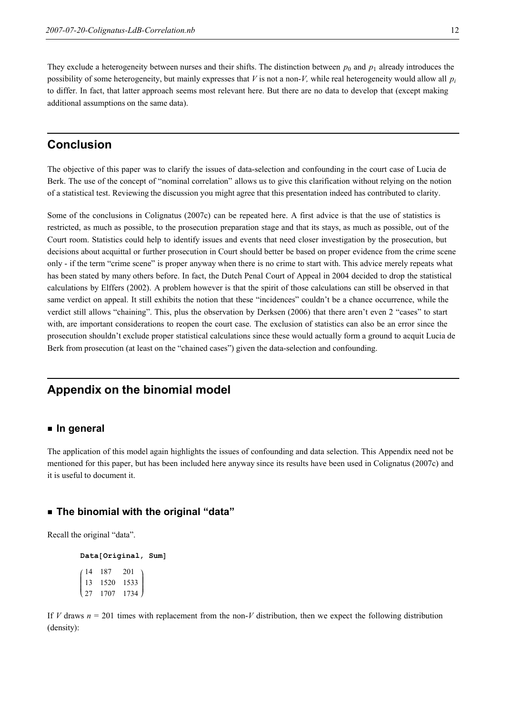They exclude a heterogeneity between nurses and their shifts. The distinction between  $p_0$  and  $p_1$  already introduces the possibility of some heterogeneity, but mainly expresses that  $V$  is not a non- $V$ , while real heterogeneity would allow all  $p_i$ to differ. In fact, that latter approach seems most relevant here. But there are no data to develop that (except making additional assumptions on the same data).

# Conclusion

The objective of this paper was to clarify the issues of data-selection and confounding in the court case of Lucia de Berk. The use of the concept of "nominal correlation" allows us to give this clarification without relying on the notion of a statistical test. Reviewing the discussion you might agree that this presentation indeed has contributed to clarity.

Some of the conclusions in Colignatus (2007c) can be repeated here. A first advice is that the use of statistics is restricted, as much as possible, to the prosecution preparation stage and that its stays, as much as possible, out of the Court room. Statistics could help to identify issues and events that need closer investigation by the prosecution, but decisions about acquittal or further prosecution in Court should better be based on proper evidence from the crime scene only - if the term "crime scene" is proper anyway when there is no crime to start with. This advice merely repeats what has been stated by many others before. In fact, the Dutch Penal Court of Appeal in 2004 decided to drop the statistical calculations by Elffers (2002). A problem however is that the spirit of those calculations can still be observed in that same verdict on appeal. It still exhibits the notion that these "incidences" couldn't be a chance occurrence, while the verdict still allows "chaining". This, plus the observation by Derksen (2006) that there aren't even 2 "cases" to start with, are important considerations to reopen the court case. The exclusion of statistics can also be an error since the prosecution shouldn't exclude proper statistical calculations since these would actually form a ground to acquit Lucia de Berk from prosecution (at least on the "chained cases") given the data-selection and confounding.

# Appendix on the binomial model

#### ■ In general

The application of this model again highlights the issues of confounding and data selection. This Appendix need not be mentioned for this paper, but has been included here anyway since its results have been used in Colignatus (2007c) and it is useful to document it.

## ■ The binomial with the original "data"

Recall the original "data".

Data[Original, Sum] i k  $\vert$ 14 187 201 13 1520 1533 27 1707 1734  $\overline{1}$  $\overline{y}$  $\overline{\phantom{a}}$ 

If V draws  $n = 201$  times with replacement from the non-V distribution, then we expect the following distribution (density):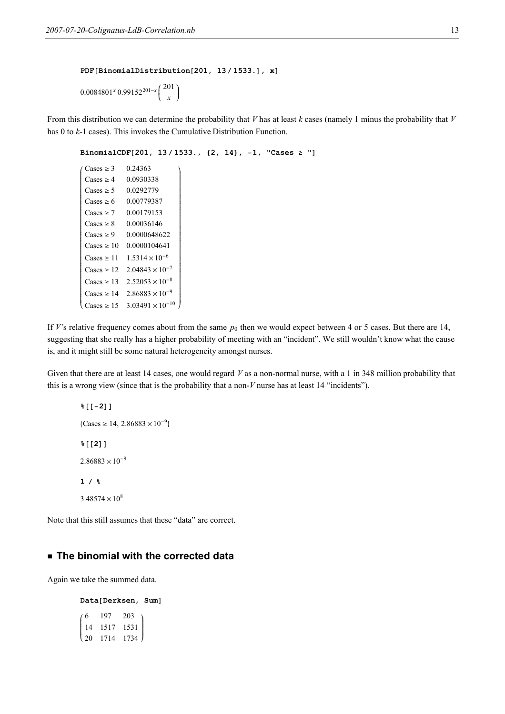```
PDF[BinomialDistribution[201, 13/1533.], x]
```
 $\overline{1}$ 

zzzzzzzzzzzzzzzzzzzzzzzzzzzzzzzzzzzzzzzzzzzzzzzzzzzzzzzzzzzzzzz

 $\overline{y}$ 

 $0.0084801^{x}$  0.99152<sup>201-x</sup>  $\binom{201}{x}$ x  $\overline{ }$  $\begin{matrix} \end{matrix}$ 

From this distribution we can determine the probability that V has at least k cases (namely 1 minus the probability that V has 0 to k-1 cases). This invokes the Cumulative Distribution Function.

```
BinomialCDF[201, 13/1533., {2, 14}, -1, "Cases <math>\ge</math>"]
```

| Cases $\geq$ 3         | 0.24363                  |
|------------------------|--------------------------|
| $\text{Cases} > 4$     | 0.0930338                |
| $\text{Cases} \geq 5$  | 0.0292779                |
| $\text{Cases} > 6$     | 0.00779387               |
| $\text{Cases} > 7$     | 0.00179153               |
| Cases $\geq 8$         | 0.00036146               |
| $\text{Cases} > 9$     | 0.0000648622             |
| Cases $\geq 10$        | 0 0000104641             |
| $\text{Cases} \geq 11$ | $1.5314 \times 10^{-6}$  |
| Cases $\geq 12$        | $2.04843 \times 10^{-7}$ |
| $\text{Cases} \geq 13$ | $2.52053 \times 10^{-8}$ |
| $\text{Cases} \geq 14$ | $2.86883 \times 10^{-9}$ |
| Cases $\geq$ 15        | $3.03491 \times 10$      |

i

jujquang jugu termatang jugu termatang di termatang panggunang nang manggunang nanggunang nanggunang nanggunang

k

If V's relative frequency comes about from the same  $p_0$  then we would expect between 4 or 5 cases. But there are 14, suggesting that she really has a higher probability of meeting with an "incident". We still wouldn't know what the cause is, and it might still be some natural heterogeneity amongst nurses.

Given that there are at least 14 cases, one would regard  $V$  as a non-normal nurse, with a 1 in 348 million probability that this is a wrong view (since that is the probability that a non-V nurse has at least 14 "incidents").

%[[-2]]  ${ {\rm \{Cases\geq 14, 2.86883\times 10^{-9}\} }}$  $%$  [[2]]  $2.86883 \times 10^{-9}$  $1/8$  $3.48574 \times 10^8$ 

Note that this still assumes that these "data" are correct.

## **Example 3 The binomial with the corrected data**

Again we take the summed data.

Data[Derksen, Sum] i 6 197 203 k 20 1714 1734  $\vert$ 14 1517 1531  $\overline{ }$  $\overline{y}$  $\overline{\phantom{a}}$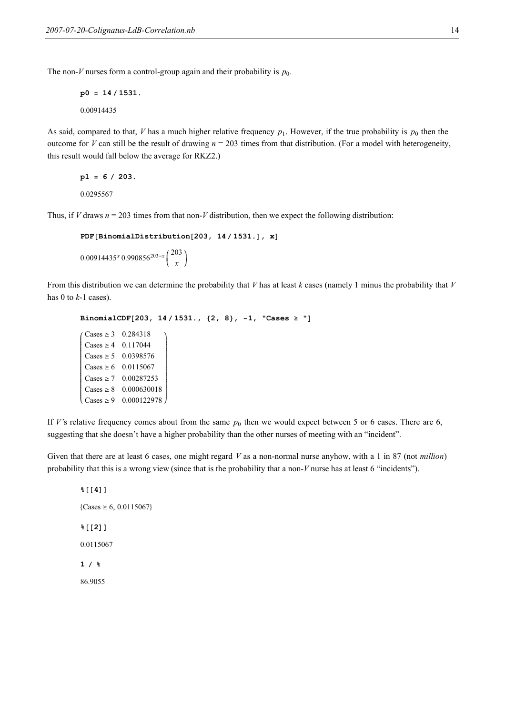The non-V nurses form a control-group again and their probability is  $p_0$ .

```
p0 = 14 / 1531.
0.00914435
```
As said, compared to that, V has a much higher relative frequency  $p_1$ . However, if the true probability is  $p_0$  then the outcome for V can still be the result of drawing  $n = 203$  times from that distribution. (For a model with heterogeneity, this result would fall below the average for RKZ2.)

```
p1 = 6 / 203.
0.0295567
```
Thus, if V draws  $n = 203$  times from that non-V distribution, then we expect the following distribution:

```
PDF[BinomialDistribution[203, 14 / 1531.], x]0.00914435^{x} 0.990856<sup>203-x</sup>
                                \binom{203}{x}x
                                       \overline{ }\int
```
From this distribution we can determine the probability that V has at least k cases (namely 1 minus the probability that V has 0 to  $k-1$  cases).

```
BinomialCDF[203, 14 / 1531., {2, 8}, -1, "Cases <math>\geq</math>"]i
k
jjjjjjjjjjjjjjjjjjjjjjjjjjjjj
  \text{Cases} \ge 3 \quad 0.284318\text{Cases} \geq 4 0.117044
  \text{Cases} \ge 5 \quad 0.0398576\text{Cases} \ge 6 0.0115067
  \text{Cases} \ge 7 0.00287253
  \text{Cases} \ge 8 0.000630018
  \text{Cases} \ge 9 \quad 0.000122978\overline{1}zzzzzzzzzzzzzzzzzzzzzzzzzzzzz
```
If V's relative frequency comes about from the same  $p_0$  then we would expect between 5 or 6 cases. There are 6, suggesting that she doesn't have a higher probability than the other nurses of meeting with an "incident".

Given that there are at least 6 cases, one might regard V as a non-normal nurse anyhow, with a 1 in 87 (not million) probability that this is a wrong view (since that is the probability that a non- $V$  nurse has at least 6 "incidents").

 $%$  [[4]]  ${ {\rm \{Cases\geq 6, 0.0115067\} }}$  $%$ [[2]] 0.0115067  $1/8$ 86.9055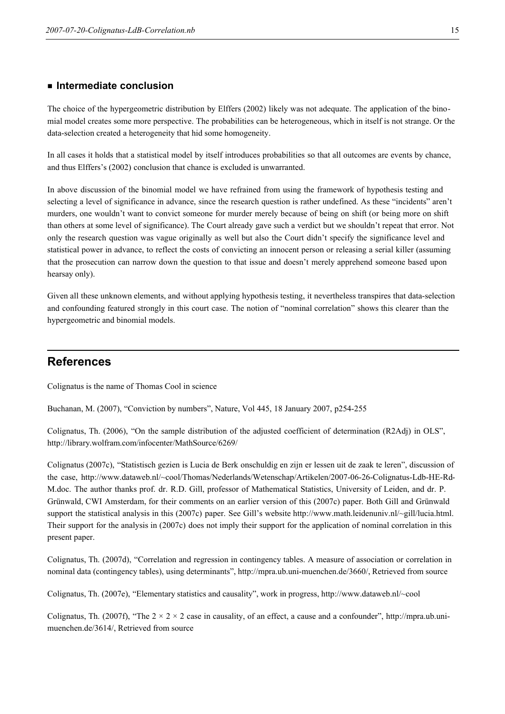#### **E** Intermediate conclusion

The choice of the hypergeometric distribution by Elffers (2002) likely was not adequate. The application of the binomial model creates some more perspective. The probabilities can be heterogeneous, which in itself is not strange. Or the data-selection created a heterogeneity that hid some homogeneity.

In all cases it holds that a statistical model by itself introduces probabilities so that all outcomes are events by chance, and thus Elffers's (2002) conclusion that chance is excluded is unwarranted.

In above discussion of the binomial model we have refrained from using the framework of hypothesis testing and selecting a level of significance in advance, since the research question is rather undefined. As these "incidents" aren't murders, one wouldn't want to convict someone for murder merely because of being on shift (or being more on shift than others at some level of significance). The Court already gave such a verdict but we shouldn't repeat that error. Not only the research question was vague originally as well but also the Court didn't specify the significance level and statistical power in advance, to reflect the costs of convicting an innocent person or releasing a serial killer (assuming that the prosecution can narrow down the question to that issue and doesn't merely apprehend someone based upon hearsay only).

Given all these unknown elements, and without applying hypothesis testing, it nevertheless transpires that data-selection and confounding featured strongly in this court case. The notion of "nominal correlation" shows this clearer than the hypergeometric and binomial models.

# References

Colignatus is the name of Thomas Cool in science

Buchanan, M. (2007), "Conviction by numbers", Nature, Vol 445, 18 January 2007, p254-255

Colignatus, Th. (2006), "On the sample distribution of the adjusted coefficient of determination (R2Adj) in OLS", http://library.wolfram.com/infocenter/MathSource/6269/

Colignatus (2007c), "Statistisch gezien is Lucia de Berk onschuldig en zijn er lessen uit de zaak te leren", discussion of the case, http://www.dataweb.nl/~cool/Thomas/Nederlands/Wetenschap/Artikelen/2007-06-26-Colignatus-Ldb-HE-Rd-M.doc. The author thanks prof. dr. R.D. Gill, professor of Mathematical Statistics, University of Leiden, and dr. P. Grünwald, CWI Amsterdam, for their comments on an earlier version of this (2007c) paper. Both Gill and Grünwald support the statistical analysis in this (2007c) paper. See Gill's website http://www.math.leidenuniv.nl/~gill/lucia.html. Their support for the analysis in (2007c) does not imply their support for the application of nominal correlation in this present paper.

Colignatus, Th. (2007d), "Correlation and regression in contingency tables. A measure of association or correlation in nominal data (contingency tables), using determinants", http://mpra.ub.uni-muenchen.de/3660/, Retrieved from source

Colignatus, Th. (2007e), "Elementary statistics and causality", work in progress, http://www.dataweb.nl/~cool

Colignatus, Th. (2007f), "The  $2 \times 2 \times 2$  case in causality, of an effect, a cause and a confounder", http://mpra.ub.unimuenchen.de/3614/, Retrieved from source